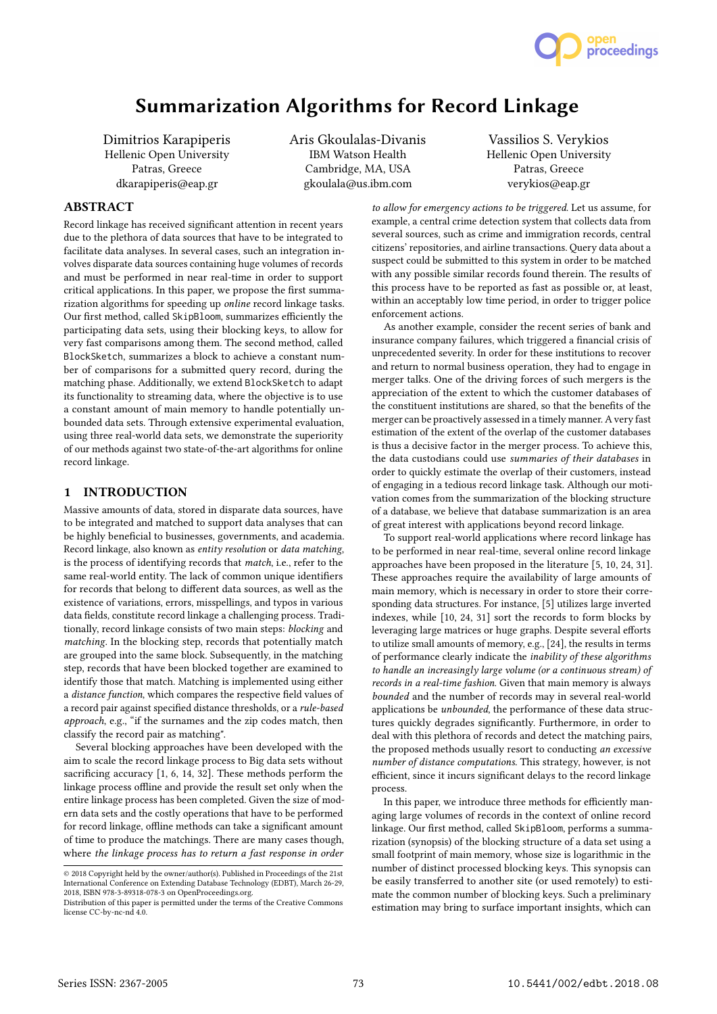

# Summarization Algorithms for Record Linkage

Dimitrios Karapiperis Hellenic Open University Patras, Greece dkarapiperis@eap.gr

Aris Gkoulalas-Divanis IBM Watson Health Cambridge, MA, USA gkoulala@us.ibm.com

Vassilios S. Verykios Hellenic Open University Patras, Greece verykios@eap.gr

# **ABSTRACT**

Record linkage has received significant attention in recent years due to the plethora of data sources that have to be integrated to facilitate data analyses. In several cases, such an integration involves disparate data sources containing huge volumes of records and must be performed in near real-time in order to support critical applications. In this paper, we propose the first summarization algorithms for speeding up online record linkage tasks. Our first method, called SkipBloom, summarizes efficiently the participating data sets, using their blocking keys, to allow for very fast comparisons among them. The second method, called BlockSketch, summarizes a block to achieve a constant number of comparisons for a submitted query record, during the matching phase. Additionally, we extend BlockSketch to adapt its functionality to streaming data, where the objective is to use a constant amount of main memory to handle potentially unbounded data sets. Through extensive experimental evaluation, using three real-world data sets, we demonstrate the superiority of our methods against two state-of-the-art algorithms for online record linkage.

## 1 INTRODUCTION

Massive amounts of data, stored in disparate data sources, have to be integrated and matched to support data analyses that can be highly beneficial to businesses, governments, and academia. Record linkage, also known as entity resolution or data matching, is the process of identifying records that match, i.e., refer to the same real-world entity. The lack of common unique identifiers for records that belong to different data sources, as well as the existence of variations, errors, misspellings, and typos in various data fields, constitute record linkage a challenging process. Traditionally, record linkage consists of two main steps: blocking and matching. In the blocking step, records that potentially match are grouped into the same block. Subsequently, in the matching step, records that have been blocked together are examined to identify those that match. Matching is implemented using either a distance function, which compares the respective field values of a record pair against specified distance thresholds, or a rule-based approach, e.g., "if the surnames and the zip codes match, then classify the record pair as matching".

Several blocking approaches have been developed with the aim to scale the record linkage process to Big data sets without sacrificing accuracy [1, 6, 14, 32]. These methods perform the linkage process offline and provide the result set only when the entire linkage process has been completed. Given the size of modern data sets and the costly operations that have to be performed for record linkage, offline methods can take a significant amount of time to produce the matchings. There are many cases though, where the linkage process has to return a fast response in order

to allow for emergency actions to be triggered. Let us assume, for example, a central crime detection system that collects data from several sources, such as crime and immigration records, central citizens' repositories, and airline transactions. Query data about a suspect could be submitted to this system in order to be matched with any possible similar records found therein. The results of this process have to be reported as fast as possible or, at least, within an acceptably low time period, in order to trigger police enforcement actions.

As another example, consider the recent series of bank and insurance company failures, which triggered a financial crisis of unprecedented severity. In order for these institutions to recover and return to normal business operation, they had to engage in merger talks. One of the driving forces of such mergers is the appreciation of the extent to which the customer databases of the constituent institutions are shared, so that the benefits of the merger can be proactively assessed in a timely manner. A very fast estimation of the extent of the overlap of the customer databases is thus a decisive factor in the merger process. To achieve this, the data custodians could use summaries of their databases in order to quickly estimate the overlap of their customers, instead of engaging in a tedious record linkage task. Although our motivation comes from the summarization of the blocking structure of a database, we believe that database summarization is an area of great interest with applications beyond record linkage.

To support real-world applications where record linkage has to be performed in near real-time, several online record linkage approaches have been proposed in the literature [5, 10, 24, 31]. These approaches require the availability of large amounts of main memory, which is necessary in order to store their corresponding data structures. For instance, [5] utilizes large inverted indexes, while [10, 24, 31] sort the records to form blocks by leveraging large matrices or huge graphs. Despite several efforts to utilize small amounts of memory, e.g., [24], the results in terms of performance clearly indicate the inability of these algorithms to handle an increasingly large volume (or a continuous stream) of records in a real-time fashion. Given that main memory is always bounded and the number of records may in several real-world applications be unbounded, the performance of these data structures quickly degrades significantly. Furthermore, in order to deal with this plethora of records and detect the matching pairs, the proposed methods usually resort to conducting an excessive number of distance computations. This strategy, however, is not efficient, since it incurs significant delays to the record linkage process.

In this paper, we introduce three methods for efficiently managing large volumes of records in the context of online record linkage. Our first method, called SkipBloom, performs a summarization (synopsis) of the blocking structure of a data set using a small footprint of main memory, whose size is logarithmic in the number of distinct processed blocking keys. This synopsis can be easily transferred to another site (or used remotely) to estimate the common number of blocking keys. Such a preliminary estimation may bring to surface important insights, which can

<sup>©</sup> 2018 Copyright held by the owner/author(s). Published in Proceedings of the 21st International Conference on Extending Database Technology (EDBT), March 26-29, 2018, ISBN 978-3-89318-078-3 on OpenProceedings.org.

Distribution of this paper is permitted under the terms of the Creative Commons license CC-by-nc-nd 4.0.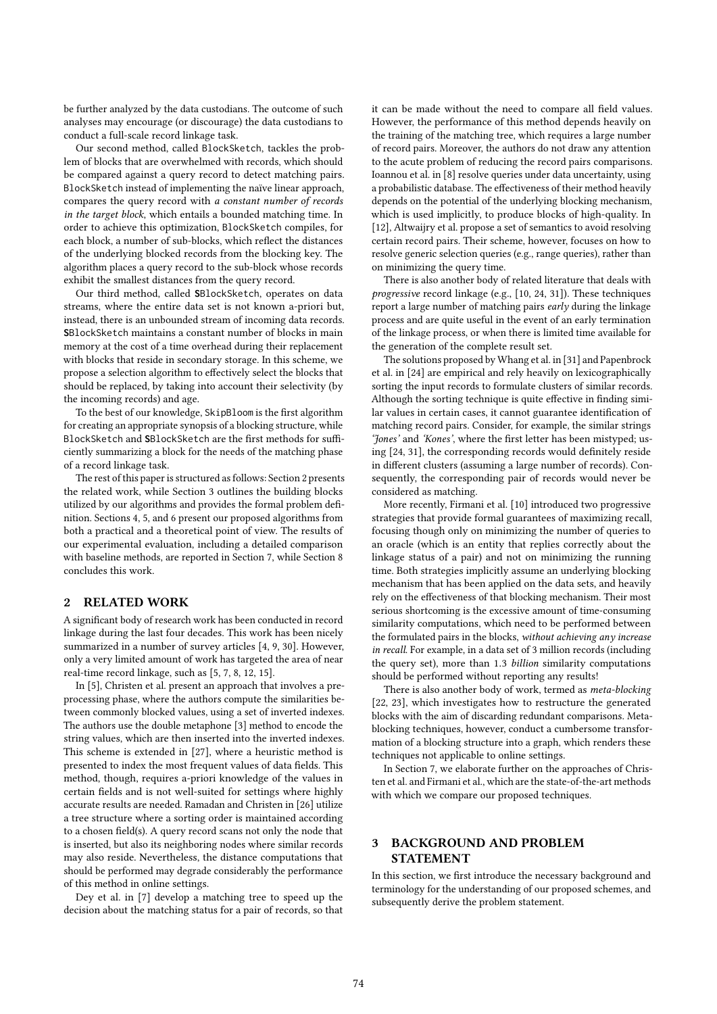be further analyzed by the data custodians. The outcome of such analyses may encourage (or discourage) the data custodians to conduct a full-scale record linkage task.

Our second method, called BlockSketch, tackles the problem of blocks that are overwhelmed with records, which should be compared against a query record to detect matching pairs. BlockSketch instead of implementing the naïve linear approach, compares the query record with a constant number of records in the target block, which entails a bounded matching time. In order to achieve this optimization, BlockSketch compiles, for each block, a number of sub-blocks, which reflect the distances of the underlying blocked records from the blocking key. The algorithm places a query record to the sub-block whose records exhibit the smallest distances from the query record.

Our third method, called **S**BlockSketch, operates on data streams, where the entire data set is not known a-priori but, instead, there is an unbounded stream of incoming data records. **S**BlockSketch maintains a constant number of blocks in main memory at the cost of a time overhead during their replacement with blocks that reside in secondary storage. In this scheme, we propose a selection algorithm to effectively select the blocks that should be replaced, by taking into account their selectivity (by the incoming records) and age.

To the best of our knowledge, SkipBloom is the first algorithm for creating an appropriate synopsis of a blocking structure, while BlockSketch and **S**BlockSketch are the first methods for sufficiently summarizing a block for the needs of the matching phase of a record linkage task.

The rest of this paper is structured as follows: Section 2 presents the related work, while Section 3 outlines the building blocks utilized by our algorithms and provides the formal problem definition. Sections 4, 5, and 6 present our proposed algorithms from both a practical and a theoretical point of view. The results of our experimental evaluation, including a detailed comparison with baseline methods, are reported in Section 7, while Section 8 concludes this work.

#### 2 RELATED WORK

A significant body of research work has been conducted in record linkage during the last four decades. This work has been nicely summarized in a number of survey articles [4, 9, 30]. However, only a very limited amount of work has targeted the area of near real-time record linkage, such as [5, 7, 8, 12, 15].

In [5], Christen et al. present an approach that involves a preprocessing phase, where the authors compute the similarities between commonly blocked values, using a set of inverted indexes. The authors use the double metaphone [3] method to encode the string values, which are then inserted into the inverted indexes. This scheme is extended in [27], where a heuristic method is presented to index the most frequent values of data fields. This method, though, requires a-priori knowledge of the values in certain fields and is not well-suited for settings where highly accurate results are needed. Ramadan and Christen in [26] utilize a tree structure where a sorting order is maintained according to a chosen field(s). A query record scans not only the node that is inserted, but also its neighboring nodes where similar records may also reside. Nevertheless, the distance computations that should be performed may degrade considerably the performance of this method in online settings.

Dey et al. in [7] develop a matching tree to speed up the decision about the matching status for a pair of records, so that it can be made without the need to compare all field values. However, the performance of this method depends heavily on the training of the matching tree, which requires a large number of record pairs. Moreover, the authors do not draw any attention to the acute problem of reducing the record pairs comparisons. Ioannou et al. in [8] resolve queries under data uncertainty, using a probabilistic database. The effectiveness of their method heavily depends on the potential of the underlying blocking mechanism, which is used implicitly, to produce blocks of high-quality. In [12], Altwaijry et al. propose a set of semantics to avoid resolving certain record pairs. Their scheme, however, focuses on how to resolve generic selection queries (e.g., range queries), rather than on minimizing the query time.

There is also another body of related literature that deals with progressive record linkage (e.g., [10, 24, 31]). These techniques report a large number of matching pairs early during the linkage process and are quite useful in the event of an early termination of the linkage process, or when there is limited time available for the generation of the complete result set.

The solutions proposed by Whang et al. in [31] and Papenbrock et al. in [24] are empirical and rely heavily on lexicographically sorting the input records to formulate clusters of similar records. Although the sorting technique is quite effective in finding similar values in certain cases, it cannot guarantee identification of matching record pairs. Consider, for example, the similar strings 'Jones' and 'Kones', where the first letter has been mistyped; using [24, 31], the corresponding records would definitely reside in different clusters (assuming a large number of records). Consequently, the corresponding pair of records would never be considered as matching.

More recently, Firmani et al. [10] introduced two progressive strategies that provide formal guarantees of maximizing recall, focusing though only on minimizing the number of queries to an oracle (which is an entity that replies correctly about the linkage status of a pair) and not on minimizing the running time. Both strategies implicitly assume an underlying blocking mechanism that has been applied on the data sets, and heavily rely on the effectiveness of that blocking mechanism. Their most serious shortcoming is the excessive amount of time-consuming similarity computations, which need to be performed between the formulated pairs in the blocks, without achieving any increase in recall. For example, in a data set of 3 million records (including the query set), more than <sup>1</sup>.<sup>3</sup> billion similarity computations should be performed without reporting any results!

There is also another body of work, termed as meta-blocking [22, 23], which investigates how to restructure the generated blocks with the aim of discarding redundant comparisons. Metablocking techniques, however, conduct a cumbersome transformation of a blocking structure into a graph, which renders these techniques not applicable to online settings.

In Section 7, we elaborate further on the approaches of Christen et al. and Firmani et al., which are the state-of-the-art methods with which we compare our proposed techniques.

# 3 BACKGROUND AND PROBLEM STATEMENT

In this section, we first introduce the necessary background and terminology for the understanding of our proposed schemes, and subsequently derive the problem statement.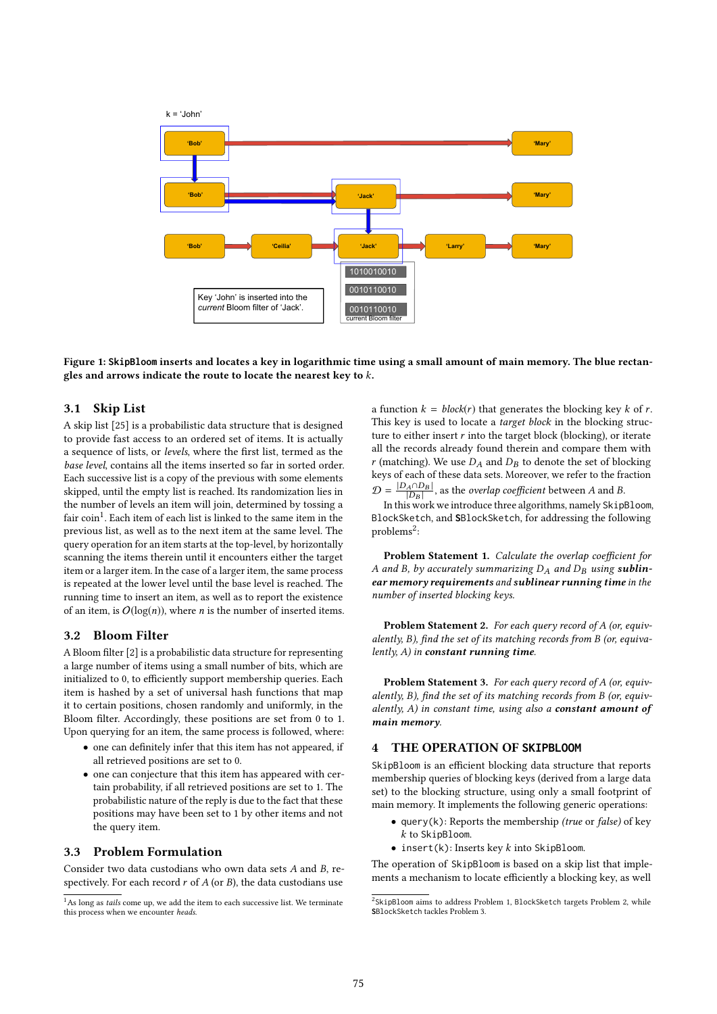

Figure 1: **SkipBloom** inserts and locates a key in logarithmic time using a small amount of main memory. The blue rectangles and arrows indicate the route to locate the nearest key to k.

#### 3.1 Skip List

A skip list [25] is a probabilistic data structure that is designed to provide fast access to an ordered set of items. It is actually a sequence of lists, or levels, where the first list, termed as the base level, contains all the items inserted so far in sorted order. Each successive list is a copy of the previous with some elements skipped, until the empty list is reached. Its randomization lies in the number of levels an item will join, determined by tossing a fair coin<sup>1</sup>. Each item of each list is linked to the same item in the previous list, as well as to the next item at the same level. The query operation for an item starts at the top-level, by horizontally scanning the items therein until it encounters either the target item or a larger item. In the case of a larger item, the same process is repeated at the lower level until the base level is reached. The running time to insert an item, as well as to report the existence of an item, is  $O(log(n))$ , where *n* is the number of inserted items.

#### 3.2 Bloom Filter

A Bloom filter [2] is a probabilistic data structure for representing a large number of items using a small number of bits, which are initialized to 0, to efficiently support membership queries. Each item is hashed by a set of universal hash functions that map it to certain positions, chosen randomly and uniformly, in the Bloom filter. Accordingly, these positions are set from 0 to 1. Upon querying for an item, the same process is followed, where:

- one can definitely infer that this item has not appeared, if all retrieved positions are set to 0.
- one can conjecture that this item has appeared with certain probability, if all retrieved positions are set to 1. The probabilistic nature of the reply is due to the fact that these positions may have been set to 1 by other items and not the query item.

## 3.3 Problem Formulation

Consider two data custodians who own data sets A and B, respectively. For each record  $r$  of  $A$  (or  $B$ ), the data custodians use a function  $k = block(r)$  that generates the blocking key k of r. This key is used to locate a *target block* in the blocking structure to either insert  $r$  into the target block (blocking), or iterate all the records already found therein and compare them with  $r$  (matching). We use  $D_A$  and  $D_B$  to denote the set of blocking keys of each of these data sets. Moreover, we refer to the fraction  $\mathcal{D} = \frac{|D_A \cap D_B|}{|D_B|}$  $\frac{A \cap B_B}{|D_B|}$ , as the *overlap coefficient* between A and B.<br>s work we introduce three algorithms namely Skin.

In this work we introduce three algorithms, namely SkipBloom, BlockSketch, and **S**BlockSketch, for addressing the following  $problems<sup>2</sup>$ 

Problem Statement 1. Calculate the overlap coefficient for A and B, by accurately summarizing  $D_A$  and  $D_B$  using sublinear memory requirements and sublinear running time in the number of inserted blocking keys.

Problem Statement 2. For each query record of A (or, equivalently, B), find the set of its matching records from B (or, equivalently,  $A$ ) in constant running time.

Problem Statement 3. For each query record of A (or, equivalently, B), find the set of its matching records from B (or, equivalently,  $A$ ) in constant time, using also a **constant amount of** main memory.

# 4 THE OPERATION OF **SKIPBLOOM**

SkipBloom is an efficient blocking data structure that reports membership queries of blocking keys (derived from a large data set) to the blocking structure, using only a small footprint of main memory. It implements the following generic operations:

- query(k): Reports the membership *(true or false)* of key k to SkipBloom.
- $\bullet$  insert(k): Inserts key  $k$  into SkipBloom.

The operation of SkipBloom is based on a skip list that implements a mechanism to locate efficiently a blocking key, as well

 $1$ As long as tails come up, we add the item to each successive list. We terminate this process when we encounter heads.

<sup>&</sup>lt;sup>2</sup>SkipBloom aims to address Problem 1, BlockSketch targets Problem 2, while **S**BlockSketch tackles Problem 3.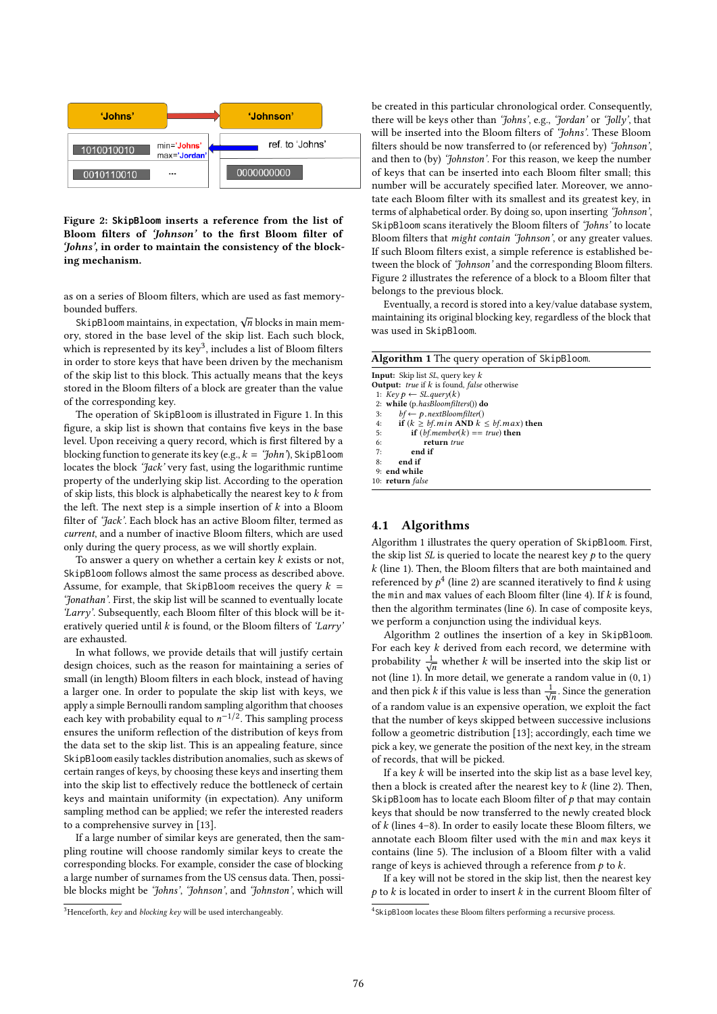

Figure 2: **SkipBloom** inserts a reference from the list of Bloom filters of 'Johnson' to the first Bloom filter of 'Johns', in order to maintain the consistency of the blocking mechanism.

as on a series of Bloom filters, which are used as fast memorybounded buffers.

skipBloom maintains, in expectation,  $\sqrt{n}$  blocks in main mem-<br>s stored in the base level of the skip list. Each such block ory, stored in the base level of the skip list. Each such block, which is represented by its key<sup>3</sup>, includes a list of Bloom filters in order to store keys that have been driven by the mechanism of the skip list to this block. This actually means that the keys stored in the Bloom filters of a block are greater than the value of the corresponding key.

The operation of SkipBloom is illustrated in Figure 1. In this figure, a skip list is shown that contains five keys in the base level. Upon receiving a query record, which is first filtered by a blocking function to generate its key (e.g.,  $k = \partial h n$ ), SkipBloom locates the block 'Jack' very fast, using the logarithmic runtime property of the underlying skip list. According to the operation of skip lists, this block is alphabetically the nearest key to  $k$  from the left. The next step is a simple insertion of  $k$  into a Bloom filter of 'Jack'. Each block has an active Bloom filter, termed as current, and a number of inactive Bloom filters, which are used only during the query process, as we will shortly explain.

To answer a query on whether a certain key  $k$  exists or not, SkipBloom follows almost the same process as described above. Assume, for example, that SkipBloom receives the query  $k =$ 'Jonathan'. First, the skip list will be scanned to eventually locate 'Larry'. Subsequently, each Bloom filter of this block will be iteratively queried until  $k$  is found, or the Bloom filters of 'Larry' are exhausted.

In what follows, we provide details that will justify certain design choices, such as the reason for maintaining a series of small (in length) Bloom filters in each block, instead of having a larger one. In order to populate the skip list with keys, we apply a simple Bernoulli random sampling algorithm that chooses each key with probability equal to  $n^{-1/2}$ . This sampling process<br>ensures the uniform reflection of the distribution of keys from ensures the uniform reflection of the distribution of keys from the data set to the skip list. This is an appealing feature, since SkipBloom easily tackles distribution anomalies, such as skews of certain ranges of keys, by choosing these keys and inserting them into the skip list to effectively reduce the bottleneck of certain keys and maintain uniformity (in expectation). Any uniform sampling method can be applied; we refer the interested readers to a comprehensive survey in [13].

If a large number of similar keys are generated, then the sampling routine will choose randomly similar keys to create the corresponding blocks. For example, consider the case of blocking a large number of surnames from the US census data. Then, possible blocks might be 'Johns', 'Johnson', and 'Johnston', which will

 $3$ Henceforth, key and blocking key will be used interchangeably.

be created in this particular chronological order. Consequently, there will be keys other than 'Johns', e.g., 'Jordan' or 'Jolly', that will be inserted into the Bloom filters of 'Johns'. These Bloom filters should be now transferred to (or referenced by) 'Johnson', and then to (by) 'Johnston'. For this reason, we keep the number of keys that can be inserted into each Bloom filter small; this number will be accurately specified later. Moreover, we annotate each Bloom filter with its smallest and its greatest key, in terms of alphabetical order. By doing so, upon inserting 'Johnson', SkipBloom scans iteratively the Bloom filters of 'Johns' to locate Bloom filters that might contain 'Johnson', or any greater values. If such Bloom filters exist, a simple reference is established between the block of 'Johnson' and the corresponding Bloom filters. Figure 2 illustrates the reference of a block to a Bloom filter that belongs to the previous block.

Eventually, a record is stored into a key/value database system, maintaining its original blocking key, regardless of the block that was used in SkipBloom.

| <b>Algorithm 1</b> The query operation of SkipBloom. |  |  |  |  |
|------------------------------------------------------|--|--|--|--|
| <b>Input:</b> Skip list <i>SL</i> , query key $k$    |  |  |  |  |
| <b>Output:</b> true if $k$ is found, false otherwise |  |  |  |  |
| 1: $Key p \leftarrow SL.query(k)$                    |  |  |  |  |
| 2: while (p.hasBloomfilters()) do                    |  |  |  |  |
| $bf \leftarrow p.nextBloomfilter()$<br>3:            |  |  |  |  |
| if $(k \ge bf.min$ AND $k \le bf.max$ ) then<br>4:   |  |  |  |  |
| <b>if</b> $(bf.member(k) == true)$ then<br>5:        |  |  |  |  |
| 6:<br>return true                                    |  |  |  |  |
| end if<br>7:                                         |  |  |  |  |
| 8:<br>end if                                         |  |  |  |  |
| 9: end while                                         |  |  |  |  |
| 10: return false                                     |  |  |  |  |

# 4.1 Algorithms

Algorithm 1 illustrates the query operation of SkipBloom. First, the skip list  $SL$  is queried to locate the nearest key  $p$  to the query k (line 1). Then, the Bloom filters that are both maintained and referenced by  $p^4$  (line 2) are scanned iteratively to find k using<br>the min and may values of each Bloom filter (line 4). If k is found the min and max values of each Bloom filter (line 4). If  $k$  is found, then the algorithm terminates (line 6). In case of composite keys, we perform a conjunction using the individual keys.

Algorithm 2 outlines the insertion of a key in SkipBloom. For each key k derived from each record, we determine with probability  $\frac{1}{\sqrt{n}}$  whether k will be inserted into the skip list or not (line 1). In more detail, we generate a random value in  $(0, 1)$ <br>and then nick k if this value is less than  $\frac{1}{\sqrt{2}}$ . Since the generation and then pick k if this value is less than  $\frac{1}{\sqrt{n}}$ . Since the generation n of a random value is an expensive operation, we exploit the fact that the number of keys skipped between successive inclusions follow a geometric distribution [13]; accordingly, each time we pick a key, we generate the position of the next key, in the stream of records, that will be picked.

If a key  $k$  will be inserted into the skip list as a base level key, then a block is created after the nearest key to  $k$  (line 2). Then, SkipBloom has to locate each Bloom filter of  $p$  that may contain keys that should be now transferred to the newly created block of  $k$  (lines 4–8). In order to easily locate these Bloom filters, we annotate each Bloom filter used with the min and max keys it contains (line 5). The inclusion of a Bloom filter with a valid range of keys is achieved through a reference from  $p$  to  $k$ .

If a key will not be stored in the skip list, then the nearest key  $p$  to k is located in order to insert k in the current Bloom filter of

<sup>4</sup> SkipBloom locates these Bloom filters performing a recursive process.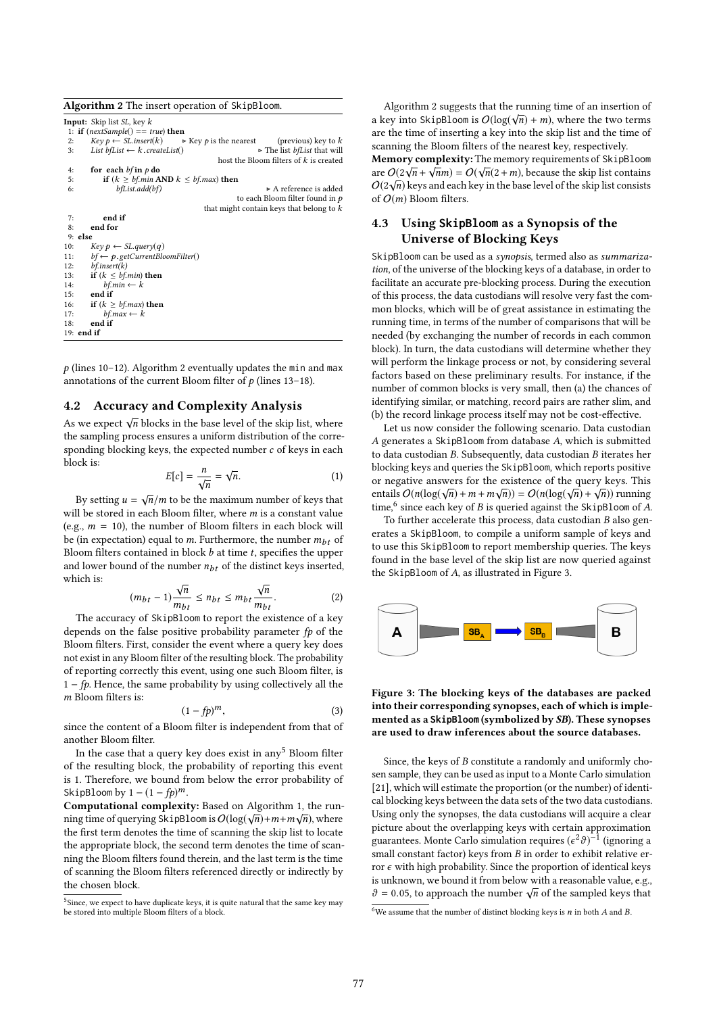| <b>Algorithm 2</b> The insert operation of SkipBloom.                                        |  |  |  |  |
|----------------------------------------------------------------------------------------------|--|--|--|--|
| <b>Input:</b> Skip list <i>SL</i> , key $k$                                                  |  |  |  |  |
| 1: if $(nextSample() == true)$ then                                                          |  |  |  |  |
| $Key p \leftarrow SL.insert(k)$ $\rightarrow$ Key p is the nearest (previous) key to k<br>2: |  |  |  |  |
| List $bf \leftarrow k$ . createList()<br>► The list bfList that will<br>3:                   |  |  |  |  |
| host the Bloom filters of $k$ is created                                                     |  |  |  |  |
| for each $bf$ in $p$ do<br>4:                                                                |  |  |  |  |
| if $(k \geq bf$ .min AND $k \leq bf$ .max) then<br>5:                                        |  |  |  |  |
| bfList.add(bf)<br>$\triangleright$ A reference is added<br>6:                                |  |  |  |  |
| to each Bloom filter found in $p$                                                            |  |  |  |  |
| that might contain keys that belong to $k$                                                   |  |  |  |  |
| end if<br>7:                                                                                 |  |  |  |  |
| 8:<br>end for                                                                                |  |  |  |  |
| $9:$ else                                                                                    |  |  |  |  |
| $Key p \leftarrow SL. query(q)$<br>10:                                                       |  |  |  |  |
| $bf \leftarrow p.getCurrent BloomFilter()$<br>11:                                            |  |  |  |  |
| bf.insert(k)<br>12:                                                                          |  |  |  |  |
| if $(k \leq bf.min)$ then<br>13:                                                             |  |  |  |  |
| $bf.min \leftarrow k$<br>14:                                                                 |  |  |  |  |
| end if<br>15:                                                                                |  |  |  |  |
| if $(k \geq bf.max)$ then<br>16:                                                             |  |  |  |  |
| $bf.max \leftarrow k$<br>17:                                                                 |  |  |  |  |
| end if<br>18:                                                                                |  |  |  |  |
| $19:$ end if                                                                                 |  |  |  |  |

 $p$  (lines 10-12). Algorithm 2 eventually updates the min and max annotations of the current Bloom filter of  $p$  (lines 13–18).

## 4.2 Accuracy and Complexity Analysis

As we expect  $\sqrt{n}$  blocks in the base level of the skip list, where the sampling process ensures a uniform distribution of the corresponding blocking keys, the expected number c of keys in each block is:

$$
E[c] = \frac{n}{\sqrt{n}} = \sqrt{n}.
$$
 (1)

By setting  $u = \sqrt{n/m}$  to be the maximum number of keys that<br>If he stored in each Bloom filter, where m is a constant value will be stored in each Bloom filter, where *m* is a constant value (e.g.,  $m = 10$ ), the number of Bloom filters in each block will be (in expectation) equal to m. Furthermore, the number  $m_{bt}$  of Bloom filters contained in block  $b$  at time  $t$ , specifies the upper and lower bound of the number  $n_{bt}$  of the distinct keys inserted, which is: √ √

$$
(m_{bt} - 1)\frac{\sqrt{n}}{m_{bt}} \le n_{bt} \le m_{bt} \frac{\sqrt{n}}{m_{bt}}.\tag{2}
$$

The accuracy of SkipBloom to report the existence of a key depends on the false positive probability parameter  $fp$  of the Bloom filters. First, consider the event where a query key does not exist in any Bloom filter of the resulting block. The probability of reporting correctly this event, using one such Bloom filter, is  $1 - fp$ . Hence, the same probability by using collectively all the m Bloom filters is:

$$
(1 - fp)^m,\tag{3}
$$

 $(1-fp)^m$ , (3)<br>since the content of a Bloom filter is independent from that of another Bloom filter.

In the case that a query key does exist in any<sup>5</sup> Bloom filter of the resulting block, the probability of reporting this event is 1. Therefore, we bound from below the error probability of SkipBloom by  $1 - (1 - fp)^m$ .

Computational complexity: Based on Algorithm 1, the run-√ √ ning time of querying SkipBloom is  $O(\log(\sqrt{n}) + m + m\sqrt{n})$ , where the first term denotes the time of scanning the skip list to locate the appropriate block, the second term denotes the time of scanning the Bloom filters found therein, and the last term is the time of scanning the Bloom filters referenced directly or indirectly by the chosen block.

Algorithm 2 suggests that the running time of an insertion of a key into SkipBloom is  $O(\log(\sqrt{n}) + m)$ , where the two terms<br>are the time of inserting a key into the skip list and the time of are the time of inserting a key into the skip list and the time of scanning the Bloom filters of the nearest key, respectively. Memory complexity: The memory requirements of SkipBloom **EXECUTE:** METHOLOGIES THE INCONSERVANCE OF SUPPOSED AT  $O(2\sqrt{n} + \sqrt{n}m) = O(\sqrt{n}(2 + m))$ , because the skip list contains  $O(2\sqrt{n})$  keys and each key in the base level of the skip list consister  $O(2\sqrt{n})$  keys and each key in the base level of the skip list consists<br>of  $O(m)$  Bloom filters of  $O(m)$  Bloom filters.

# 4.3 Using **SkipBloom** as a Synopsis of the Universe of Blocking Keys

SkipBloom can be used as a synopsis, termed also as summarization, of the universe of the blocking keys of a database, in order to facilitate an accurate pre-blocking process. During the execution of this process, the data custodians will resolve very fast the common blocks, which will be of great assistance in estimating the running time, in terms of the number of comparisons that will be needed (by exchanging the number of records in each common block). In turn, the data custodians will determine whether they will perform the linkage process or not, by considering several factors based on these preliminary results. For instance, if the number of common blocks is very small, then (a) the chances of identifying similar, or matching, record pairs are rather slim, and (b) the record linkage process itself may not be cost-effective.

Let us now consider the following scenario. Data custodian A generates a SkipBloom from database A, which is submitted to data custodian B. Subsequently, data custodian B iterates her blocking keys and queries the SkipBloom, which reports positive or negative answers for the existence of the query keys. This entails  $O(n(\log(\sqrt{n}) + m + m\sqrt{n})) = O(n(\log(\sqrt{n}) + \sqrt{n}))$  running<br>time <sup>6</sup> since each key of *B* is queried against the SkinBloom of *A* time,<sup>6</sup> since each key of B is queried against the SkipBloom of A.<br>To further accelerate this process data custodian B also gen-

To further accelerate this process, data custodian B also generates a SkipBloom, to compile a uniform sample of keys and to use this SkipBloom to report membership queries. The keys found in the base level of the skip list are now queried against the SkipBloom of A, as illustrated in Figure 3.



Figure 3: The blocking keys of the databases are packed into their corresponding synopses, each of which is implemented as a **SkipBloom** (symbolized by SB). These synopses are used to draw inferences about the source databases.

Since, the keys of B constitute a randomly and uniformly chosen sample, they can be used as input to a Monte Carlo simulation [21], which will estimate the proportion (or the number) of identical blocking keys between the data sets of the two data custodians. Using only the synopses, the data custodians will acquire a clear picture about the overlapping keys with certain approximation guarantees. Monte Carlo simulation requires  $(\epsilon^2 \theta)^{-1}$  (ignoring a small constant factor) keys from B in order to exhibit relative exsmall constant factor) keys from  $B$  in order to exhibit relative error  $\epsilon$  with high probability. Since the proportion of identical keys is unknown, we bound it from below with a reasonable value, e.g., Solution, we bound it from below with a reasonable value, e.g.<br>  $\theta = 0.05$ , to approach the number  $\sqrt{n}$  of the sampled keys that

 $^5$ Since, we expect to have duplicate keys, it is quite natural that the same key may be stored into multiple Bloom filters of a block.

<sup>&</sup>lt;sup>6</sup>We assume that the number of distinct blocking keys is  $n$  in both  $A$  and  $B$ .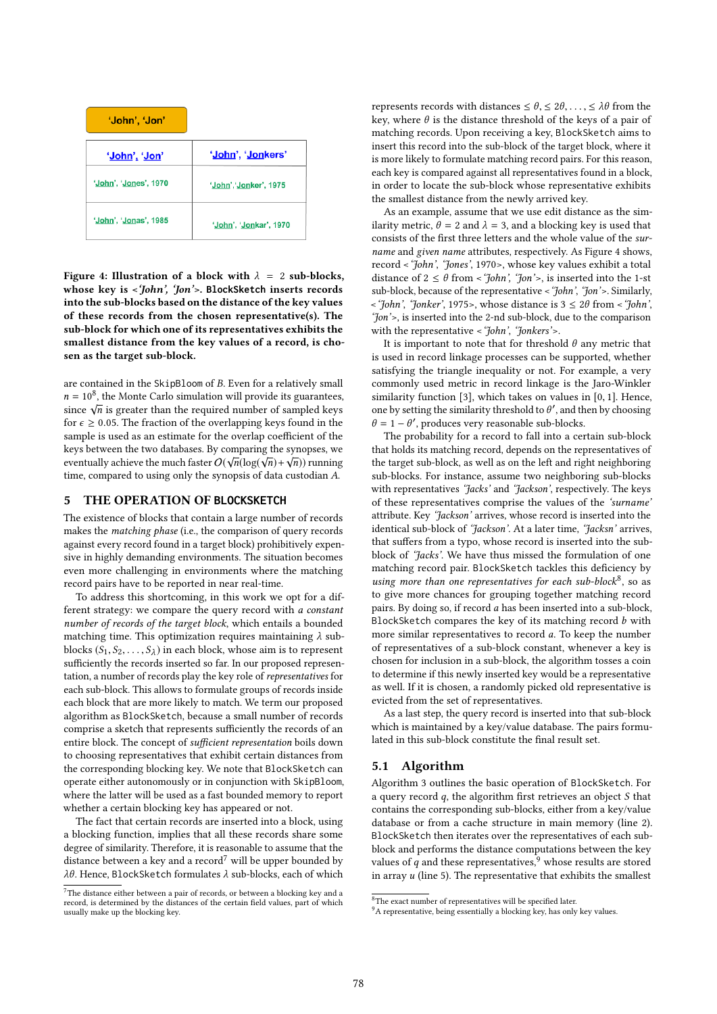| 'John', 'Jon'                  |                        |
|--------------------------------|------------------------|
| 'John', 'Jon'                  | 'John', 'Jonkers'      |
| 'John', 'Jones', 1970          | 'John','Jonker', 1975  |
| ' <u>John', 'Jon</u> as', 1985 | 'John', 'Jonkar', 1970 |

Figure 4: Illustration of a block with  $\lambda = 2$  sub-blocks, whose key is <'John', 'Jon'>. **BlockSketch** inserts records into the sub-blocks based on the distance of the key values of these records from the chosen representative(s). The sub-block for which one of its representatives exhibits the smallest distance from the key values of a record, is chosen as the target sub-block.

are contained in the SkipBloom of B. Even for a relatively small  $n = 10^8$ , the Monte Carlo simulation will provide its guarantees,<br>since  $\sqrt{n}$  is greater than the required number of sampled keys  $n = 10$ , the monte Carlo simulation will provide its guarantees<br>since  $\sqrt{n}$  is greater than the required number of sampled keys for  $\epsilon \geq 0.05$ . The fraction of the overlapping keys found in the sample is used as an estimate for the overlap coefficient of the keys between the two databases. By comparing the synopses, we Reys between the two databases. By comparing the synopses, we<br>eventually achieve the much faster  $O(\sqrt{n}(\log(\sqrt{n}) + \sqrt{n}))$  running<br>time, compared to using only the synopsis of data custodian A time, compared to using only the synopsis of data custodian A.

#### 5 THE OPERATION OF **BLOCKSKETCH**

The existence of blocks that contain a large number of records makes the matching phase (i.e., the comparison of query records against every record found in a target block) prohibitively expensive in highly demanding environments. The situation becomes even more challenging in environments where the matching record pairs have to be reported in near real-time.

To address this shortcoming, in this work we opt for a different strategy: we compare the query record with a constant number of records of the target block, which entails a bounded matching time. This optimization requires maintaining  $\lambda$  subblocks  $(S_1, S_2, \ldots, S_\lambda)$  in each block, whose aim is to represent<br>sufficiently the records inserted so far In our proposed represent sufficiently the records inserted so far. In our proposed representation, a number of records play the key role of representatives for each sub-block. This allows to formulate groups of records inside each block that are more likely to match. We term our proposed algorithm as BlockSketch, because a small number of records comprise a sketch that represents sufficiently the records of an entire block. The concept of sufficient representation boils down to choosing representatives that exhibit certain distances from the corresponding blocking key. We note that BlockSketch can operate either autonomously or in conjunction with SkipBloom, where the latter will be used as a fast bounded memory to report whether a certain blocking key has appeared or not.

The fact that certain records are inserted into a block, using a blocking function, implies that all these records share some degree of similarity. Therefore, it is reasonable to assume that the distance between a key and a record<sup>7</sup> will be upper bounded by λθ. Hence, BlockSketch formulates λ sub-blocks, each of which represents records with distances  $\leq \theta$ ,  $\leq 2\theta$ , ...,  $\leq \lambda\theta$  from the key, where  $\theta$  is the distance threshold of the keys of a pair of matching records. Upon receiving a key, BlockSketch aims to insert this record into the sub-block of the target block, where it is more likely to formulate matching record pairs. For this reason, each key is compared against all representatives found in a block, in order to locate the sub-block whose representative exhibits the smallest distance from the newly arrived key.

As an example, assume that we use edit distance as the similarity metric,  $\theta = 2$  and  $\lambda = 3$ , and a blocking key is used that consists of the first three letters and the whole value of the surname and given name attributes, respectively. As Figure 4 shows, record <'John', 'Jones', 1970>, whose key values exhibit a total distance of  $2 \le \theta$  from < 'John', 'Jon'>, is inserted into the 1-st sub-block, because of the representative <'John', 'Jon'>. Similarly,  $\leq$ 'John', 'Jonker', 1975>, whose distance is  $3 \leq 2\theta$  from  $\leq$ 'John', 'Jon'>, is inserted into the 2-nd sub-block, due to the comparison with the representative < 'John', 'Jonkers'>.

It is important to note that for threshold  $\theta$  any metric that is used in record linkage processes can be supported, whether satisfying the triangle inequality or not. For example, a very commonly used metric in record linkage is the Jaro-Winkler similarity function [3], which takes on values in [0, <sup>1</sup>]. Hence, one by setting the similarity threshold to  $\theta'$ , and then by choosing  $\theta = 1 - \theta'$ , produces very reasonable sub-blocks.  $\theta = 1 - \theta'$ , produces very reasonable sub-blocks.<br>The probability for a record to fall into a cen-

The probability for a record to fall into a certain sub-block that holds its matching record, depends on the representatives of the target sub-block, as well as on the left and right neighboring sub-blocks. For instance, assume two neighboring sub-blocks with representatives 'Jacks' and 'Jackson', respectively. The keys of these representatives comprise the values of the 'surname' attribute. Key 'Jackson' arrives, whose record is inserted into the identical sub-block of 'Jackson'. At a later time, 'Jacksn' arrives, that suffers from a typo, whose record is inserted into the subblock of 'Jacks'. We have thus missed the formulation of one matching record pair. BlockSketch tackles this deficiency by using more than one representatives for each sub-block<sup>8</sup>, so as to give more chances for grouping together matching record pairs. By doing so, if record a has been inserted into a sub-block, BlockSketch compares the key of its matching record  $b$  with more similar representatives to record a. To keep the number of representatives of a sub-block constant, whenever a key is chosen for inclusion in a sub-block, the algorithm tosses a coin to determine if this newly inserted key would be a representative as well. If it is chosen, a randomly picked old representative is evicted from the set of representatives.

As a last step, the query record is inserted into that sub-block which is maintained by a key/value database. The pairs formulated in this sub-block constitute the final result set.

#### 5.1 Algorithm

Algorithm 3 outlines the basic operation of BlockSketch. For a query record  $q$ , the algorithm first retrieves an object  $S$  that contains the corresponding sub-blocks, either from a key/value database or from a cache structure in main memory (line 2). BlockSketch then iterates over the representatives of each subblock and performs the distance computations between the key values of q and these representatives, whose results are stored in array  $u$  (line 5). The representative that exhibits the smallest

 $7$ The distance either between a pair of records, or between a blocking key and a record, is determined by the distances of the certain field values, part of which usually make up the blocking key.

<sup>8</sup>The exact number of representatives will be specified later.

<sup>&</sup>lt;sup>9</sup>A representative, being essentially a blocking key, has only key values.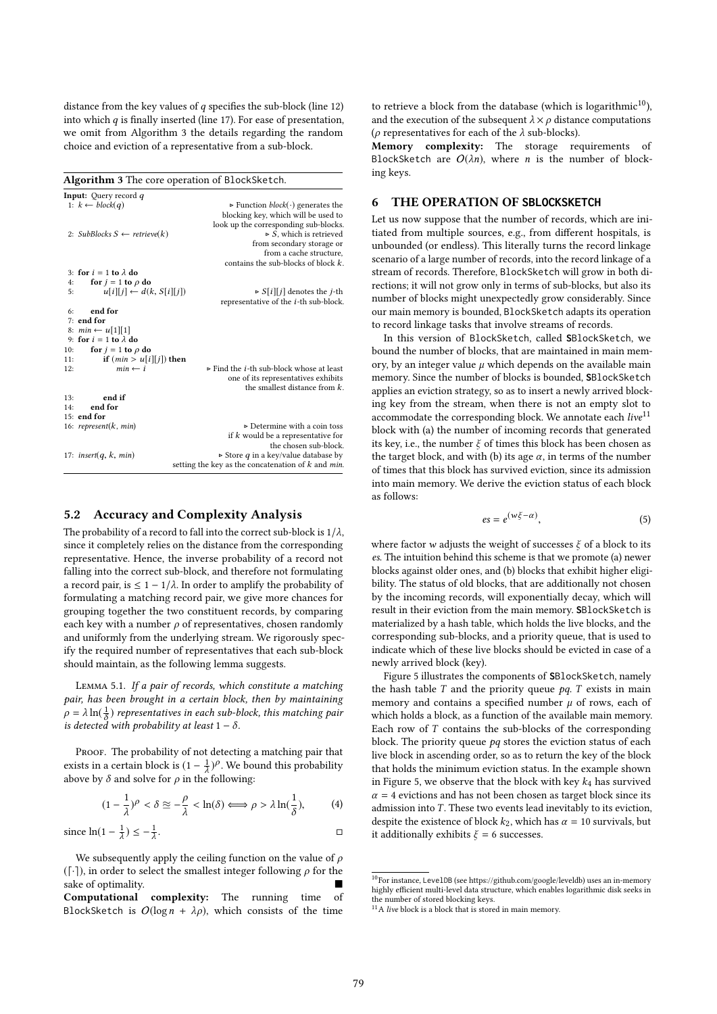distance from the key values of  $q$  specifies the sub-block (line 12) into which  $q$  is finally inserted (line 17). For ease of presentation, we omit from Algorithm 3 the details regarding the random choice and eviction of a representative from a sub-block.

Algorithm 3 The core operation of BlockSketch.

|     | <b>Input:</b> Query record $q$          |                                                                 |
|-----|-----------------------------------------|-----------------------------------------------------------------|
|     | 1: $k \leftarrow block(q)$              | Function <i>block</i> ( $\cdot$ ) generates the                 |
|     |                                         | blocking key, which will be used to                             |
|     |                                         | look up the corresponding sub-blocks.                           |
|     | 2: SubBlocks $S \leftarrow$ retrieve(k) | $\triangleright$ S, which is retrieved                          |
|     |                                         | from secondary storage or                                       |
|     |                                         | from a cache structure,                                         |
|     |                                         | contains the sub-blocks of block $k$ .                          |
|     | 3: for $i = 1$ to $\lambda$ do          |                                                                 |
| 4:  | for $j = 1$ to $\rho$ do                |                                                                 |
| 5:  | $u[i][j] \leftarrow d(k, S[i][j])$      | $\triangleright$ S[i][j] denotes the j-th                       |
|     |                                         | representative of the <i>i</i> -th sub-block.                   |
| 6:  | end for                                 |                                                                 |
|     | $7:$ end for                            |                                                                 |
|     | 8: $min \leftarrow u[1][1]$             |                                                                 |
|     | 9: for $i = 1$ to $\lambda$ do          |                                                                 |
| 10: | for $j = 1$ to $\rho$ do                |                                                                 |
| 11: | if $(min > u[i][j])$ then               |                                                                 |
| 12: | $min \leftarrow i$                      | $\triangleright$ Find the <i>i</i> -th sub-block whose at least |
|     |                                         | one of its representatives exhibits                             |
|     |                                         | the smallest distance from $k$ .                                |
| 13: | end if                                  |                                                                 |
| 14: | end for                                 |                                                                 |
|     | 15: end for                             |                                                                 |
|     | 16: represent $(k, min)$                | $\triangleright$ Determine with a coin toss                     |
|     |                                         | if $k$ would be a representative for                            |
|     |                                         | the chosen sub-block.                                           |
|     | 17: insert $(q, k, min)$                | Store $q$ in a key/value database by                            |
|     |                                         | setting the key as the concatenation of $k$ and $min$ .         |
|     |                                         |                                                                 |

#### 5.2 Accuracy and Complexity Analysis

The probability of a record to fall into the correct sub-block is  $1/\lambda$ , since it completely relies on the distance from the corresponding representative. Hence, the inverse probability of a record not falling into the correct sub-block, and therefore not formulating a record pair, is  $\leq 1 - 1/\lambda$ . In order to amplify the probability of formulating a matching record pair, we give more chances for grouping together the two constituent records, by comparing each key with a number  $\rho$  of representatives, chosen randomly and uniformly from the underlying stream. We rigorously specify the required number of representatives that each sub-block should maintain, as the following lemma suggests.

Lemma 5.1. If a pair of records, which constitute a matching pair, has been brought in a certain block, then by maintaining  $\rho = \lambda \ln(\frac{1}{\delta})$  representatives in each sub-block, this matching pair<br>is detected with probability at least  $1 - \delta$ is detected with probability at least  $1 - \delta$ .

PROOF. The probability of not detecting a matching pair that exists in a certain block is  $(1 - \frac{1}{\lambda})^{\rho}$ . We bound this probability above by  $\delta$  and solve for  $\rho$  in the following:

$$
(1 - \frac{1}{\lambda})^{\rho} < \delta \approx -\frac{\rho}{\lambda} < \ln(\delta) \Longleftrightarrow \rho > \lambda \ln(\frac{1}{\delta}),\tag{4}
$$

since 
$$
\ln(1 - \frac{1}{\lambda}) \leq -\frac{1}{\lambda}
$$
.

We subsequently apply the ceiling function on the value of  $\rho$  $(\lceil \cdot \rceil)$ , in order to select the smallest integer following  $\rho$  for the sake of optimality.

Computational complexity: The running time of BlockSketch is  $O(\log n + \lambda \rho)$ , which consists of the time

to retrieve a block from the database (which is logarithmic $10$ ), and the execution of the subsequent  $\lambda \times \rho$  distance computations ( $\rho$  representatives for each of the  $\lambda$  sub-blocks).

Memory complexity: The storage requirements of BlockSketch are  $O(\lambda n)$ , where *n* is the number of blocking keys.

#### 6 THE OPERATION OF **SBLOCKSKETCH**

Let us now suppose that the number of records, which are initiated from multiple sources, e.g., from different hospitals, is unbounded (or endless). This literally turns the record linkage scenario of a large number of records, into the record linkage of a stream of records. Therefore, BlockSketch will grow in both directions; it will not grow only in terms of sub-blocks, but also its number of blocks might unexpectedly grow considerably. Since our main memory is bounded, BlockSketch adapts its operation to record linkage tasks that involve streams of records.

In this version of BlockSketch, called **S**BlockSketch, we bound the number of blocks, that are maintained in main memory, by an integer value  $\mu$  which depends on the available main memory. Since the number of blocks is bounded, **S**BlockSketch applies an eviction strategy, so as to insert a newly arrived blocking key from the stream, when there is not an empty slot to accommodate the corresponding block. We annotate each  $live^{11}$ block with (a) the number of incoming records that generated its key, i.e., the number  $\xi$  of times this block has been chosen as the target block, and with (b) its age  $\alpha$ , in terms of the number of times that this block has survived eviction, since its admission into main memory. We derive the eviction status of each block as follows:

$$
es = e^{(w\xi - \alpha)}, \tag{5}
$$

where factor w adjusts the weight of successes  $\xi$  of a block to its es. The intuition behind this scheme is that we promote (a) newer blocks against older ones, and (b) blocks that exhibit higher eligibility. The status of old blocks, that are additionally not chosen by the incoming records, will exponentially decay, which will result in their eviction from the main memory. **S**BlockSketch is materialized by a hash table, which holds the live blocks, and the corresponding sub-blocks, and a priority queue, that is used to indicate which of these live blocks should be evicted in case of a newly arrived block (key).

Figure 5 illustrates the components of **S**BlockSketch, namely the hash table  $T$  and the priority queue  $pq$ .  $T$  exists in main memory and contains a specified number  $\mu$  of rows, each of which holds a block, as a function of the available main memory. Each row of  $T$  contains the sub-blocks of the corresponding block. The priority queue  $pq$  stores the eviction status of each live block in ascending order, so as to return the key of the block that holds the minimum eviction status. In the example shown in Figure 5, we observe that the block with key  $k_4$  has survived  $\alpha = 4$  evictions and has not been chosen as target block since its admission into  $T$ . These two events lead inevitably to its eviction, despite the existence of block  $k_2$ , which has  $\alpha = 10$  survivals, but it additionally exhibits  $\xi = 6$  successes.

<sup>10</sup>For instance, LevelDB (see https://github.com/google/leveldb) uses an in-memory highly efficient multi-level data structure, which enables logarithmic disk seeks in the number of stored blocking keys.

 $11A$  live block is a block that is stored in main memory.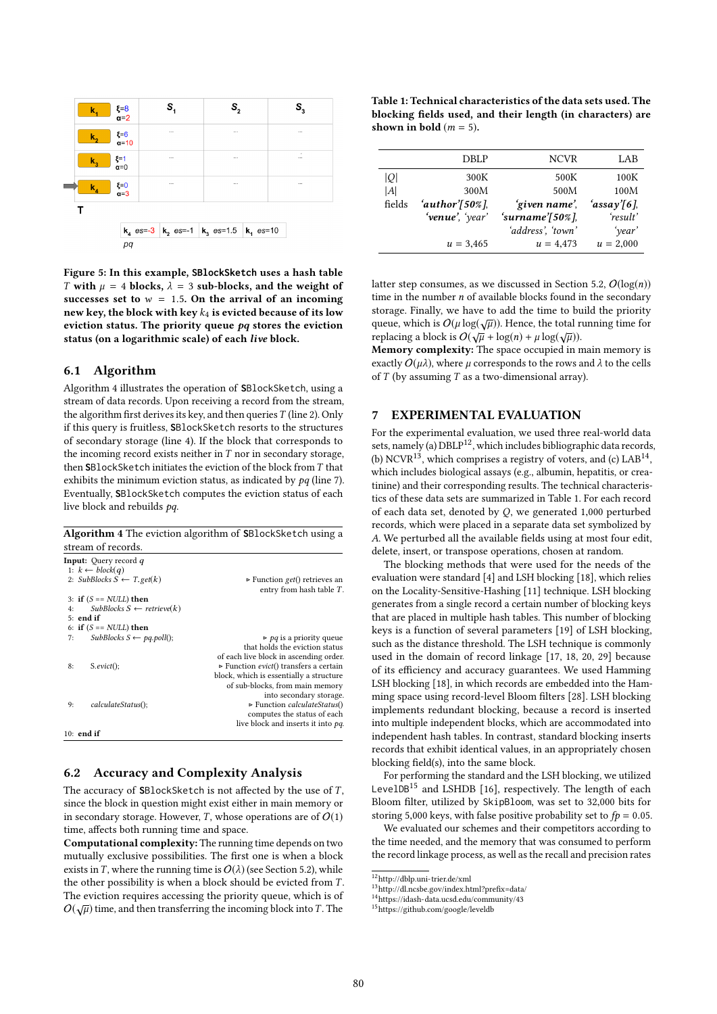| $\mathbf{k}_4$             | $\xi=8$<br>$\alpha=2$  | $\mathsf{s}_{\scriptscriptstyle 1}$              | $\mathbb{S}^{}_{2}$ |  | $S_{3}$       |
|----------------------------|------------------------|--------------------------------------------------|---------------------|--|---------------|
| k,                         | $\xi=6$<br>$\alpha=10$ |                                                  |                     |  | $\cdots$      |
| $\mathbf{k}_3$             | $\xi=1$<br>$\alpha=0$  | $\cdots$                                         | $\cdots$            |  | ٠<br>$\cdots$ |
| $k_{\scriptscriptstyle A}$ | $\xi=0$<br>$\alpha=3$  |                                                  | $\cdots$            |  |               |
|                            |                        |                                                  |                     |  |               |
|                            |                        | $k_4$ es=-3 $k_2$ es=-1 $k_3$ es=1.5 $k_1$ es=10 |                     |  |               |
|                            | pq                     |                                                  |                     |  |               |

Figure 5: In this example, **SBlockSketch** uses a hash table T with  $\mu = 4$  blocks,  $\lambda = 3$  sub-blocks, and the weight of successes set to  $w = 1.5$ . On the arrival of an incoming new key, the block with key  $k_4$  is evicted because of its low eviction status. The priority queue  $pq$  stores the eviction status (on a logarithmic scale) of each live block.

## 6.1 Algorithm

Algorithm 4 illustrates the operation of **S**BlockSketch, using a stream of data records. Upon receiving a record from the stream, the algorithm first derives its key, and then queries  $T$  (line 2). Only if this query is fruitless, **S**BlockSketch resorts to the structures of secondary storage (line 4). If the block that corresponds to the incoming record exists neither in  $T$  nor in secondary storage, then **<sup>S</sup>**BlockSketch initiates the eviction of the block fromT that exhibits the minimum eviction status, as indicated by  $pq$  (line 7). Eventually, **S**BlockSketch computes the eviction status of each live block and rebuilds pq.

Algorithm 4 The eviction algorithm of **S**BlockSketch using a stream of records.

| sticam of Iccorus.                         |                                                                             |
|--------------------------------------------|-----------------------------------------------------------------------------|
| <b>Input:</b> Query record q               |                                                                             |
| 1: $k \leftarrow \text{block}(q)$          |                                                                             |
| 2: SubBlocks $S \leftarrow T.get(k)$       | $\triangleright$ Function get() retrieves an<br>entry from hash table $T$ . |
| 3: if $(S == NULL)$ then                   |                                                                             |
| $Subblocks S \leftarrow retrieve(k)$<br>4: |                                                                             |
| $5:$ end if                                |                                                                             |
| 6: if $(S == NULL)$ then                   |                                                                             |
| $Subblocks S \leftarrow pq, poll();$<br>7: | $\triangleright$ pq is a priority queue                                     |
|                                            | that holds the eviction status                                              |
|                                            | of each live block in ascending order.                                      |
| $S.evict()$ ;<br>8:                        | $\triangleright$ Function <i>evict</i> () transfers a certain               |
|                                            | block, which is essentially a structure                                     |
|                                            | of sub-blocks, from main memory                                             |
|                                            | into secondary storage.                                                     |
| calculateStatus();<br>9:                   | $\triangleright$ Function <i>calculateStatus</i> ()                         |
|                                            | computes the status of each                                                 |
|                                            | live block and inserts it into pq.                                          |
| 10: end if                                 |                                                                             |
|                                            |                                                                             |

# 6.2 Accuracy and Complexity Analysis

The accuracy of **S**BlockSketch is not affected by the use of T, since the block in question might exist either in main memory or in secondary storage. However, T, whose operations are of  $O(1)$ time, affects both running time and space.

Computational complexity: The running time depends on two mutually exclusive possibilities. The first one is when a block exists in T, where the running time is  $O(\lambda)$  (see Section 5.2), while the other possibility is when a block should be evicted from T. The eviction requires accessing the priority queue, which is of O( $\sqrt{\mu}$ ) time, and then transferring the incoming block into T. The

Table 1: Technical characteristics of the data sets used. The blocking fields used, and their length (in characters) are shown in bold  $(m = 5)$ .

|        | <b>DBLP</b>             | <b>NCVR</b>          | LAB         |
|--------|-------------------------|----------------------|-------------|
| IOI    | 300K                    | 500K                 | 100K        |
| A      | 300M                    | 500M                 | 100M        |
| fields | 'author' $[50\%]$ ,     | 'given name'.        | 'assay'[6], |
|        | <b>'venue'</b> , 'year' | 'surname' $ 50\% $ . | 'result'    |
|        |                         | 'address', 'town'    | 'year'      |
|        | $u = 3,465$             | $u = 4,473$          | $u = 2,000$ |
|        |                         |                      |             |

latter step consumes, as we discussed in Section 5.2,  $O(\log(n))$ time in the number  $n$  of available blocks found in the secondary storage. Finally, we have to add the time to build the priority queue, which is  $O(\mu \log(\sqrt{\mu}))$ . Hence, the total running time for<br>replacing a block is  $O(\sqrt{\mu} + \log(n) + \mu \log(\sqrt{n}))$ replacing a block is  $O(\sqrt{\mu})$ . Thence, the total replacing a block is  $O(\sqrt{\mu} + \log(n) + \mu \log(\sqrt{\mu}))$ .

Memory complexity: The space occupied in main memory is exactly  $O(\mu\lambda)$ , where  $\mu$  corresponds to the rows and  $\lambda$  to the cells of  $T$  (by assuming  $T$  as a two-dimensional array).

# 7 EXPERIMENTAL EVALUATION

For the experimental evaluation, we used three real-world data sets, namely (a) DBLP<sup>12</sup>, which includes bibliographic data records, (b) NCVR<sup>13</sup>, which comprises a registry of voters, and (c)  $LAB^{14}$ . which includes biological assays (e.g., albumin, hepatitis, or creatinine) and their corresponding results. The technical characteristics of these data sets are summarized in Table 1. For each record of each data set, denoted by Q, we generated <sup>1</sup>,<sup>000</sup> perturbed records, which were placed in a separate data set symbolized by A. We perturbed all the available fields using at most four edit, delete, insert, or transpose operations, chosen at random.

The blocking methods that were used for the needs of the evaluation were standard [4] and LSH blocking [18], which relies on the Locality-Sensitive-Hashing [11] technique. LSH blocking generates from a single record a certain number of blocking keys that are placed in multiple hash tables. This number of blocking keys is a function of several parameters [19] of LSH blocking, such as the distance threshold. The LSH technique is commonly used in the domain of record linkage [17, 18, 20, 29] because of its efficiency and accuracy guarantees. We used Hamming LSH blocking [18], in which records are embedded into the Hamming space using record-level Bloom filters [28]. LSH blocking implements redundant blocking, because a record is inserted into multiple independent blocks, which are accommodated into independent hash tables. In contrast, standard blocking inserts records that exhibit identical values, in an appropriately chosen blocking field(s), into the same block.

For performing the standard and the LSH blocking, we utilized LevelDB<sup>15</sup> and LSHDB [16], respectively. The length of each Bloom filter, utilized by SkipBloom, was set to <sup>32</sup>,<sup>000</sup> bits for storing 5,000 keys, with false positive probability set to  $fp = 0.05$ .

We evaluated our schemes and their competitors according to the time needed, and the memory that was consumed to perform the record linkage process, as well as the recall and precision rates

 $^{12}{\rm http://dblp.uni-trier.de/xml}$ 

<sup>13</sup>http://dl.ncsbe.gov/index.html?prefix=data/

<sup>14</sup>https://idash-data.ucsd.edu/community/43

<sup>15</sup>https://github.com/google/leveldb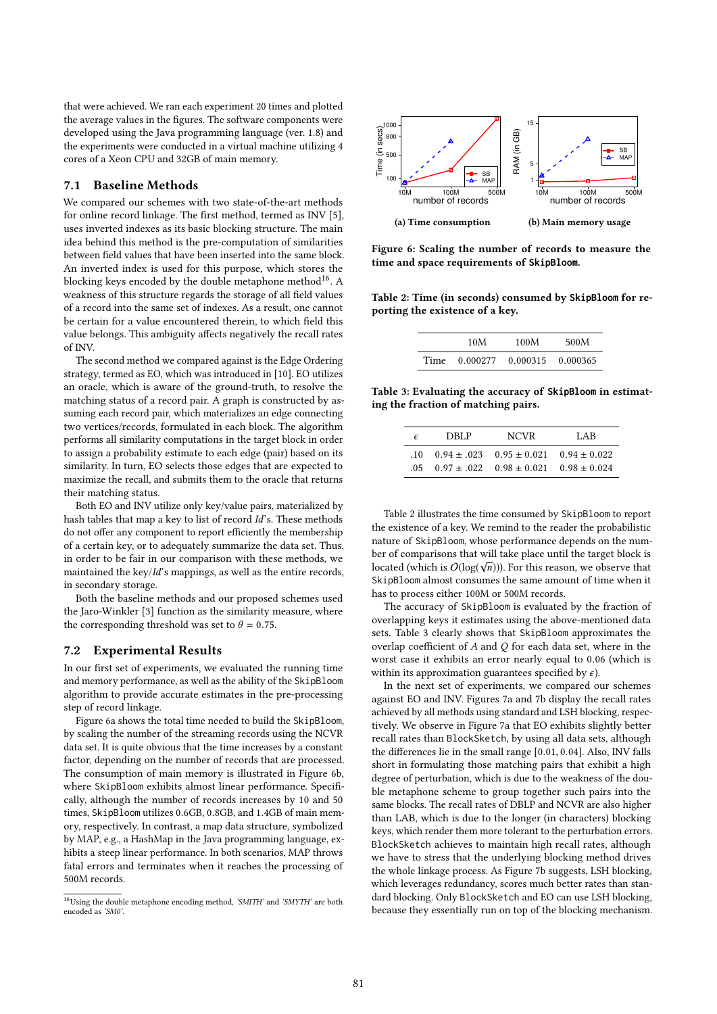that were achieved. We ran each experiment 20 times and plotted the average values in the figures. The software components were developed using the Java programming language (ver. 1.8) and the experiments were conducted in a virtual machine utilizing 4 cores of a Xeon CPU and 32GB of main memory.

#### 7.1 Baseline Methods

We compared our schemes with two state-of-the-art methods for online record linkage. The first method, termed as INV [5], uses inverted indexes as its basic blocking structure. The main idea behind this method is the pre-computation of similarities between field values that have been inserted into the same block. An inverted index is used for this purpose, which stores the blocking keys encoded by the double metaphone method<sup>16</sup>. A weakness of this structure regards the storage of all field values of a record into the same set of indexes. As a result, one cannot be certain for a value encountered therein, to which field this value belongs. This ambiguity affects negatively the recall rates of INV.

The second method we compared against is the Edge Ordering strategy, termed as EO, which was introduced in [10]. EO utilizes an oracle, which is aware of the ground-truth, to resolve the matching status of a record pair. A graph is constructed by assuming each record pair, which materializes an edge connecting two vertices/records, formulated in each block. The algorithm performs all similarity computations in the target block in order to assign a probability estimate to each edge (pair) based on its similarity. In turn, EO selects those edges that are expected to maximize the recall, and submits them to the oracle that returns their matching status.

Both EO and INV utilize only key/value pairs, materialized by hash tables that map a key to list of record Id's. These methods do not offer any component to report efficiently the membership of a certain key, or to adequately summarize the data set. Thus, in order to be fair in our comparison with these methods, we maintained the key/Id's mappings, as well as the entire records, in secondary storage.

Both the baseline methods and our proposed schemes used the Jaro-Winkler [3] function as the similarity measure, where the corresponding threshold was set to  $\theta = 0.75$ .

#### 7.2 Experimental Results

In our first set of experiments, we evaluated the running time and memory performance, as well as the ability of the SkipBloom algorithm to provide accurate estimates in the pre-processing step of record linkage.

Figure 6a shows the total time needed to build the SkipBloom, by scaling the number of the streaming records using the NCVR data set. It is quite obvious that the time increases by a constant factor, depending on the number of records that are processed. The consumption of main memory is illustrated in Figure 6b, where SkipBloom exhibits almost linear performance. Specifically, although the number of records increases by 10 and 50 times, SkipBloom utilizes <sup>0</sup>.6GB, <sup>0</sup>.8GB, and <sup>1</sup>.4GB of main memory, respectively. In contrast, a map data structure, symbolized by MAP, e.g., a HashMap in the Java programming language, exhibits a steep linear performance. In both scenarios, MAP throws fatal errors and terminates when it reaches the processing of 500M records.



Figure 6: Scaling the number of records to measure the time and space requirements of **SkipBloom**.

Table 2: Time (in seconds) consumed by **SkipBloom** for reporting the existence of a key.

| 10M                             | 100M | 500M |
|---------------------------------|------|------|
| Time 0.000277 0.000315 0.000365 |      |      |
|                                 |      |      |

Table 3: Evaluating the accuracy of **SkipBloom** in estimating the fraction of matching pairs.

| F   | DRI P | <b>NCVR</b>                                        | LAB |
|-----|-------|----------------------------------------------------|-----|
| .10 |       | $0.94 \pm 0.023$ $0.95 \pm 0.021$ $0.94 \pm 0.022$ |     |
|     |       | $0.97 \pm 0.02$ $0.98 \pm 0.021$ $0.98 \pm 0.024$  |     |

Table 2 illustrates the time consumed by SkipBloom to report the existence of a key. We remind to the reader the probabilistic nature of SkipBloom, whose performance depends on the number of comparisons that will take place until the target block is √ located (which is  $O(\log(\sqrt{n}))$ ). For this reason, we observe that  $\frac{S_k}{n}$  has not consumer the same amount of time when it SkipBloom almost consumes the same amount of time when it has to process either 100M or 500M records.

The accuracy of SkipBloom is evaluated by the fraction of overlapping keys it estimates using the above-mentioned data sets. Table 3 clearly shows that SkipBloom approximates the overlap coefficient of  $A$  and  $Q$  for each data set, where in the worst case it exhibits an error nearly equal to <sup>0</sup>.<sup>06</sup> (which is within its approximation guarantees specified by  $\epsilon$ ).

In the next set of experiments, we compared our schemes against EO and INV. Figures 7a and 7b display the recall rates achieved by all methods using standard and LSH blocking, respectively. We observe in Figure 7a that EO exhibits slightly better recall rates than BlockSketch, by using all data sets, although the differences lie in the small range [0.01, <sup>0</sup>.04]. Also, INV falls short in formulating those matching pairs that exhibit a high degree of perturbation, which is due to the weakness of the double metaphone scheme to group together such pairs into the same blocks. The recall rates of DBLP and NCVR are also higher than LAB, which is due to the longer (in characters) blocking keys, which render them more tolerant to the perturbation errors. BlockSketch achieves to maintain high recall rates, although we have to stress that the underlying blocking method drives the whole linkage process. As Figure 7b suggests, LSH blocking, which leverages redundancy, scores much better rates than standard blocking. Only BlockSketch and EO can use LSH blocking, because they essentially run on top of the blocking mechanism.

 $^{16}{\rm Using}$  the double metaphone encoding method, 'SMITH' and 'SMYTH' are both encoded as 'SM0'.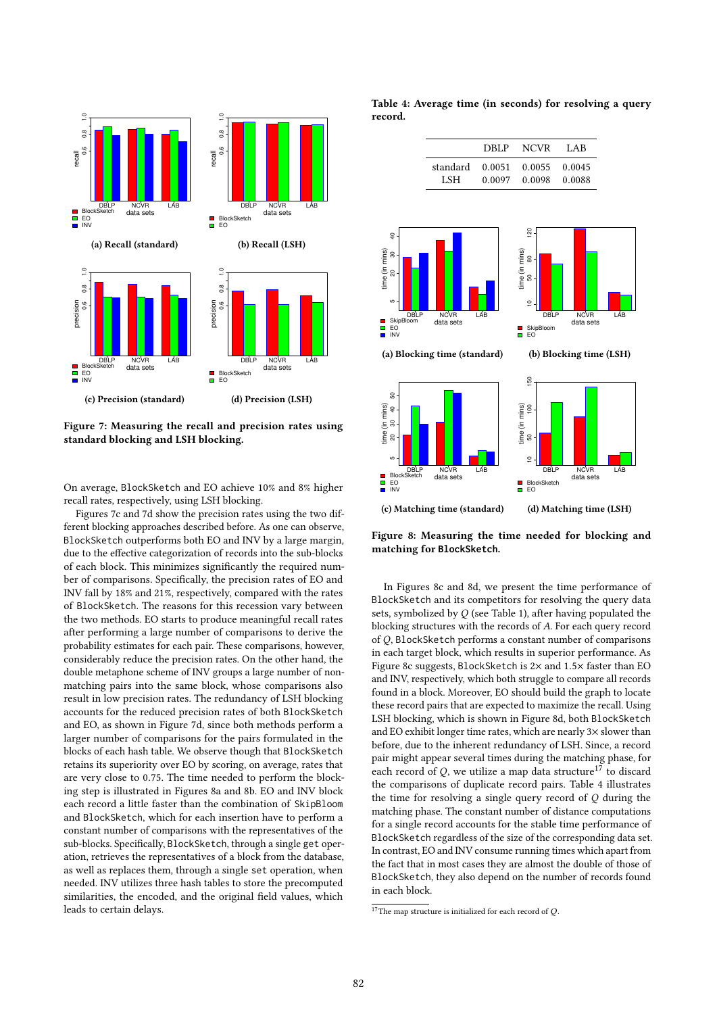

Figure 7: Measuring the recall and precision rates using standard blocking and LSH blocking.

On average, BlockSketch and EO achieve 10% and 8% higher recall rates, respectively, using LSH blocking.

Figures 7c and 7d show the precision rates using the two different blocking approaches described before. As one can observe, BlockSketch outperforms both EO and INV by a large margin, due to the effective categorization of records into the sub-blocks of each block. This minimizes significantly the required number of comparisons. Specifically, the precision rates of EO and INV fall by 18% and 21%, respectively, compared with the rates of BlockSketch. The reasons for this recession vary between the two methods. EO starts to produce meaningful recall rates after performing a large number of comparisons to derive the probability estimates for each pair. These comparisons, however, considerably reduce the precision rates. On the other hand, the double metaphone scheme of INV groups a large number of nonmatching pairs into the same block, whose comparisons also result in low precision rates. The redundancy of LSH blocking accounts for the reduced precision rates of both BlockSketch and EO, as shown in Figure 7d, since both methods perform a larger number of comparisons for the pairs formulated in the blocks of each hash table. We observe though that BlockSketch retains its superiority over EO by scoring, on average, rates that are very close to <sup>0</sup>.75. The time needed to perform the blocking step is illustrated in Figures 8a and 8b. EO and INV block each record a little faster than the combination of SkipBloom and BlockSketch, which for each insertion have to perform a constant number of comparisons with the representatives of the sub-blocks. Specifically, BlockSketch, through a single get operation, retrieves the representatives of a block from the database, as well as replaces them, through a single set operation, when needed. INV utilizes three hash tables to store the precomputed similarities, the encoded, and the original field values, which leads to certain delays.

Table 4: Average time (in seconds) for resolving a query record.



Figure 8: Measuring the time needed for blocking and matching for **BlockSketch**.

In Figures 8c and 8d, we present the time performance of BlockSketch and its competitors for resolving the query data sets, symbolized by  $Q$  (see Table 1), after having populated the blocking structures with the records of A. For each query record of Q, BlockSketch performs a constant number of comparisons in each target block, which results in superior performance. As Figure 8c suggests, BlockSketch is <sup>2</sup><sup>×</sup> and <sup>1</sup>.5<sup>×</sup> faster than EO and INV, respectively, which both struggle to compare all records found in a block. Moreover, EO should build the graph to locate these record pairs that are expected to maximize the recall. Using LSH blocking, which is shown in Figure 8d, both BlockSketch and EO exhibit longer time rates, which are nearly 3× slower than before, due to the inherent redundancy of LSH. Since, a record pair might appear several times during the matching phase, for each record of  $Q$ , we utilize a map data structure<sup>17</sup> to discard the comparisons of duplicate record pairs. Table 4 illustrates the time for resolving a single query record of  $Q$  during the matching phase. The constant number of distance computations for a single record accounts for the stable time performance of BlockSketch regardless of the size of the corresponding data set. In contrast, EO and INV consume running times which apart from the fact that in most cases they are almost the double of those of BlockSketch, they also depend on the number of records found in each block.

 $17$ The map structure is initialized for each record of Q.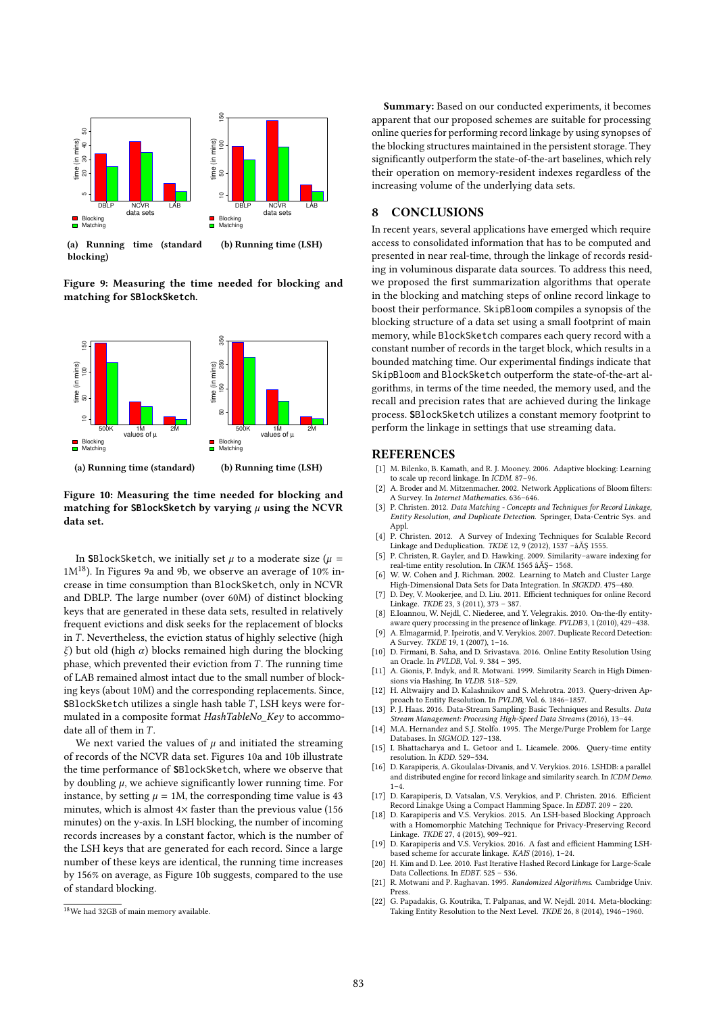

(a) Running time (standard blocking) (b) Running time (LSH)

Figure 9: Measuring the time needed for blocking and matching for **SBlockSketch**.



Figure 10: Measuring the time needed for blocking and matching for SBlockSketch by varying  $\mu$  using the NCVR data set.

In **S**BlockSketch, we initially set  $\mu$  to a moderate size ( $\mu$  =  $1M^{18}$ ). In Figures 9a and 9b, we observe an average of 10% increase in time consumption than BlockSketch, only in NCVR and DBLP. The large number (over 60M) of distinct blocking keys that are generated in these data sets, resulted in relatively frequent evictions and disk seeks for the replacement of blocks in  $T$ . Nevertheless, the eviction status of highly selective (high ξ) but old (high  $α$ ) blocks remained high during the blocking phase, which prevented their eviction from  $T$ . The running time of LAB remained almost intact due to the small number of blocking keys (about 10M) and the corresponding replacements. Since, **SBlockSketch utilizes a single hash table T, LSH keys were for**mulated in a composite format HashTableNo\_Key to accommodate all of them in  $T$ .

We next varied the values of  $\mu$  and initiated the streaming of records of the NCVR data set. Figures 10a and 10b illustrate the time performance of **S**BlockSketch, where we observe that by doubling  $\mu$ , we achieve significantly lower running time. For instance, by setting  $\mu = 1$ M, the corresponding time value is 43 minutes, which is almost  $4\times$  faster than the previous value (156 minutes) on the y-axis. In LSH blocking, the number of incoming records increases by a constant factor, which is the number of the LSH keys that are generated for each record. Since a large number of these keys are identical, the running time increases by 156% on average, as Figure 10b suggests, compared to the use of standard blocking.

Summary: Based on our conducted experiments, it becomes apparent that our proposed schemes are suitable for processing online queries for performing record linkage by using synopses of the blocking structures maintained in the persistent storage. They significantly outperform the state-of-the-art baselines, which rely their operation on memory-resident indexes regardless of the increasing volume of the underlying data sets.

#### 8 CONCLUSIONS

In recent years, several applications have emerged which require access to consolidated information that has to be computed and presented in near real-time, through the linkage of records residing in voluminous disparate data sources. To address this need, we proposed the first summarization algorithms that operate in the blocking and matching steps of online record linkage to boost their performance. SkipBloom compiles a synopsis of the blocking structure of a data set using a small footprint of main memory, while BlockSketch compares each query record with a constant number of records in the target block, which results in a bounded matching time. Our experimental findings indicate that SkipBloom and BlockSketch outperform the state-of-the-art algorithms, in terms of the time needed, the memory used, and the recall and precision rates that are achieved during the linkage process. **S**BlockSketch utilizes a constant memory footprint to perform the linkage in settings that use streaming data.

#### REFERENCES

- [1] M. Bilenko, B. Kamath, and R. J. Mooney. 2006. Adaptive blocking: Learning to scale up record linkage. In ICDM. 87–96.
- [2] A. Broder and M. Mitzenmacher. 2002. Network Applications of Bloom filters: A Survey. In Internet Mathematics. 636–646.
- [3] P. Christen. 2012. Data Matching Concepts and Techniques for Record Linkage, Entity Resolution, and Duplicate Detection. Springer, Data-Centric Sys. and Appl.
- [4] P. Christen. 2012. A Survey of Indexing Techniques for Scalable Record Linkage and Deduplication. TKDE 12, 9 (2012), 1537 –âĂŞ 1555.
- [5] P. Christen, R. Gayler, and D. Hawking. 2009. Similarity–aware indexing for real-time entity resolution. In CIKM. 1565 âĂŞ– 1568.
- [6] W. W. Cohen and J. Richman. 2002. Learning to Match and Cluster Large High-Dimensional Data Sets for Data Integration. In SIGKDD. 475–480.
- [7] D. Dey, V. Mookerjee, and D. Liu. 2011. Efficient techniques for online Record Linkage. TKDE 23, 3 (2011), 373 – 387.
- [8] E.Ioannou, W. Nejdl, C. Niederee, and Y. Velegrakis. 2010. On-the-fly entityaware query processing in the presence of linkage. PVLDB 3, 1 (2010), 429–438. [9] A. Elmagarmid, P. Ipeirotis, and V. Verykios. 2007. Duplicate Record Detection:
- A Survey. TKDE 19, 1 (2007), 1–16.
- [10] D. Firmani, B. Saha, and D. Srivastava. 2016. Online Entity Resolution Using an Oracle. In PVLDB, Vol. 9. 384 – 395.
- [11] A. Gionis, P. Indyk, and R. Motwani. 1999. Similarity Search in High Dimensions via Hashing. In VLDB. 518–529.
- [12] H. Altwaijry and D. Kalashnikov and S. Mehrotra. 2013. Query-driven Approach to Entity Resolution. In PVLDB, Vol. 6. 1846–1857.
- [13] P. J. Haas. 2016. Data-Stream Sampling: Basic Techniques and Results. Data Stream Management: Processing High-Speed Data Streams (2016), 13–44. [14] M.A. Hernandez and S.J. Stolfo. 1995. The Merge/Purge Problem for Large
- Databases. In SIGMOD. 127–138.
- [15] I. Bhattacharya and L. Getoor and L. Licamele. 2006. Query-time entity resolution. In KDD. 529–534.
- [16] D. Karapiperis, A. Gkoulalas-Divanis, and V. Verykios. 2016. LSHDB: a parallel and distributed engine for record linkage and similarity search. In ICDM Demo.  $1 - 4$
- [17] D. Karapiperis, D. Vatsalan, V.S. Verykios, and P. Christen. 2016. Efficient Record Linakge Using a Compact Hamming Space. In EDBT. 209 – 220. [18] D. Karapiperis and V.S. Verykios. 2015. An LSH-based Blocking Approach
- with a Homomorphic Matching Technique for Privacy-Preserving Record Linkage. TKDE 27, 4 (2015), 909–921.
- [19] D. Karapiperis and V.S. Verykios. 2016. A fast and efficient Hamming LSHbased scheme for accurate linkage. KAIS (2016), 1–24. [20] H. Kim and D. Lee. 2010. Fast Iterative Hashed Record Linkage for Large-Scale
- Data Collections. In EDBT. 525 536. [21] R. Motwani and P. Raghavan. 1995. Randomized Algorithms. Cambridge Univ.
- Press. [22] G. Papadakis, G. Koutrika, T. Palpanas, and W. Nejdl. 2014. Meta-blocking:
- Taking Entity Resolution to the Next Level. TKDE 26, 8 (2014), 1946–1960.

<sup>18</sup>We had 32GB of main memory available.